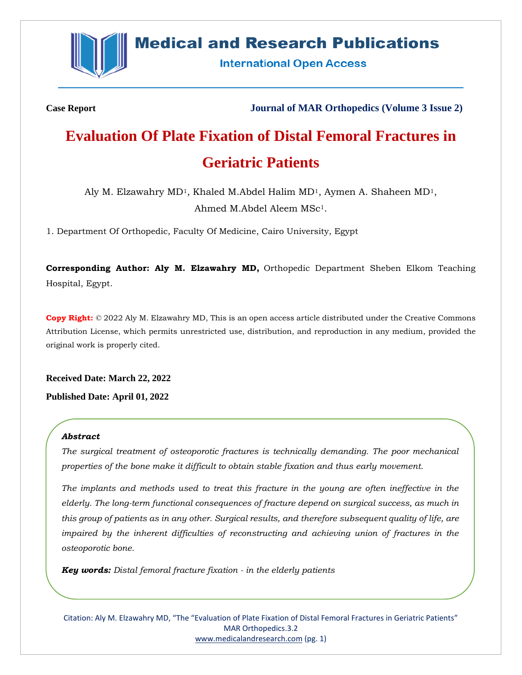

# **Medical and Research Publications**

**International Open Access** 

**Case Report Journal of MAR Orthopedics (Volume 3 Issue 2)**

# **Evaluation Of Plate Fixation of Distal Femoral Fractures in Geriatric Patients**

Aly M. Elzawahry  $MD<sup>1</sup>$ , Khaled M.Abdel Halim  $MD<sup>1</sup>$ , Aymen A. Shaheen  $MD<sup>1</sup>$ , Ahmed M.Abdel Aleem MSc1.

1. Department Of Orthopedic, Faculty Of Medicine, Cairo University, Egypt

**Corresponding Author: Aly M. Elzawahry MD,** Orthopedic Department Sheben Elkom Teaching Hospital, Egypt.

**Copy Right:** © 2022 Aly M. Elzawahry MD, This is an open access article distributed under the Creative Commons Attribution License, which permits unrestricted use, distribution, and reproduction in any medium, provided the original work is properly cited.

**Received Date: March 22, 2022 Published Date: April 01, 2022**

#### *Abstract*

*The surgical treatment of osteoporotic fractures is technically demanding. The poor mechanical properties of the bone make it difficult to obtain stable fixation and thus early movement.*

*The implants and methods used to treat this fracture in the young are often ineffective in the elderly. The long-term functional consequences of fracture depend on surgical success, as much in this group of patients as in any other. Surgical results, and therefore subsequent quality of life, are impaired by the inherent difficulties of reconstructing and achieving union of fractures in the osteoporotic bone.*

*Key words: Distal femoral fracture fixation - in the elderly patients*

Citation: Aly M. Elzawahry MD, "The "Evaluation of Plate Fixation of Distal Femoral Fractures in Geriatric Patients" MAR Orthopedics.3.2 [www.medicalandresearch.com](http://www.medicalandresearch.com/) (pg. 1)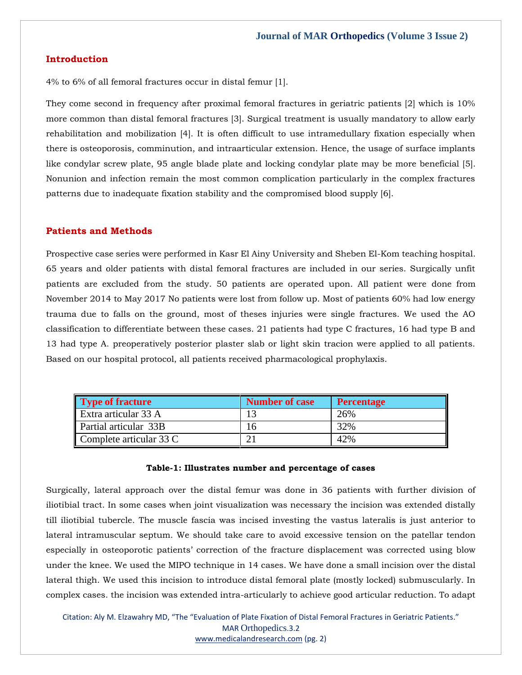## **Introduction**

4% to 6% of all femoral fractures occur in distal femur [1].

They come second in frequency after proximal femoral fractures in geriatric patients [2] which is 10% more common than distal femoral fractures [3]. Surgical treatment is usually mandatory to allow early rehabilitation and mobilization [4]. It is often difficult to use intramedullary fixation especially when there is osteoporosis, comminution, and intraarticular extension. Hence, the usage of surface implants like condylar screw plate, 95 angle blade plate and locking condylar plate may be more beneficial [5]. Nonunion and infection remain the most common complication particularly in the complex fractures patterns due to inadequate fixation stability and the compromised blood supply [6].

#### **Patients and Methods**

Prospective case series were performed in Kasr El Ainy University and Sheben El-Kom teaching hospital. 65 years and older patients with distal femoral fractures are included in our series. Surgically unfit patients are excluded from the study. 50 patients are operated upon. All patient were done from November 2014 to May 2017 No patients were lost from follow up. Most of patients 60% had low energy trauma due to falls on the ground, most of theses injuries were single fractures. We used the AO classification to differentiate between these cases. 21 patients had type C fractures, 16 had type B and 13 had type A. preoperatively posterior plaster slab or light skin tracion were applied to all patients. Based on our hospital protocol, all patients received pharmacological prophylaxis.

| <b>Type of fracture</b> | <b>Number of case</b> | Percentage |
|-------------------------|-----------------------|------------|
| Extra articular 33 A    |                       | 26%        |
| Partial articular 33B   |                       | 32%        |
| Complete articular 33 C |                       | 42%        |

#### **Table-1: Illustrates number and percentage of cases**

Surgically, lateral approach over the distal femur was done in 36 patients with further division of iliotibial tract. In some cases when joint visualization was necessary the incision was extended distally till iliotibial tubercle. The muscle fascia was incised investing the vastus lateralis is just anterior to lateral intramuscular septum. We should take care to avoid excessive tension on the patellar tendon especially in osteoporotic patients' correction of the fracture displacement was corrected using blow under the knee. We used the MIPO technique in 14 cases. We have done a small incision over the distal lateral thigh. We used this incision to introduce distal femoral plate (mostly locked) submuscularly. In complex cases. the incision was extended intra-articularly to achieve good articular reduction. To adapt

Citation: Aly M. Elzawahry MD, "The "Evaluation of Plate Fixation of Distal Femoral Fractures in Geriatric Patients." MAR Orthopedics.3.2 [www.medicalandresearch.com](http://www.medicalandresearch.com/) (pg. 2)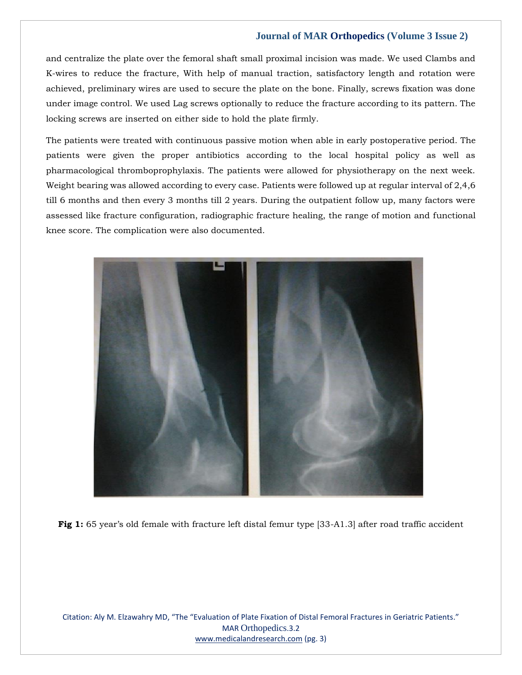and centralize the plate over the femoral shaft small proximal incision was made. We used Clambs and K-wires to reduce the fracture, With help of manual traction, satisfactory length and rotation were achieved, preliminary wires are used to secure the plate on the bone. Finally, screws fixation was done under image control. We used Lag screws optionally to reduce the fracture according to its pattern. The locking screws are inserted on either side to hold the plate firmly.

The patients were treated with continuous passive motion when able in early postoperative period. The patients were given the proper antibiotics according to the local hospital policy as well as pharmacological thromboprophylaxis. The patients were allowed for physiotherapy on the next week. Weight bearing was allowed according to every case. Patients were followed up at regular interval of 2,4,6 till 6 months and then every 3 months till 2 years. During the outpatient follow up, many factors were assessed like fracture configuration, radiographic fracture healing, the range of motion and functional knee score. The complication were also documented.



**Fig 1:** 65 year's old female with fracture left distal femur type [33-A1.3] after road traffic accident

Citation: Aly M. Elzawahry MD, "The "Evaluation of Plate Fixation of Distal Femoral Fractures in Geriatric Patients." MAR Orthopedics.3.2 [www.medicalandresearch.com](http://www.medicalandresearch.com/) (pg. 3)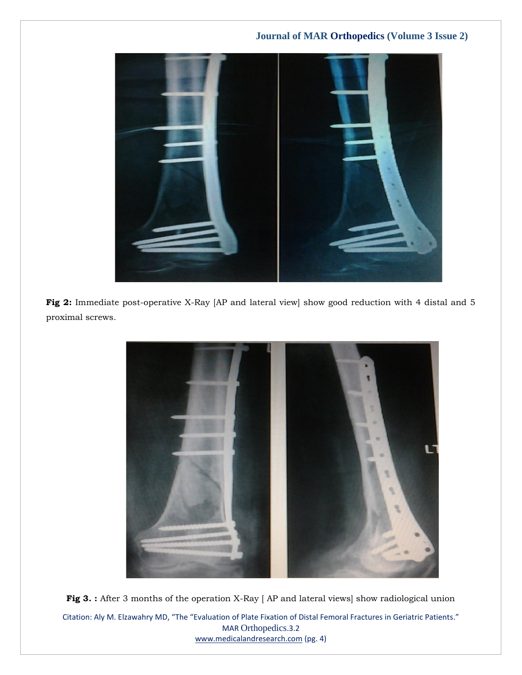

**Fig 2:** Immediate post-operative X-Ray [AP and lateral view] show good reduction with 4 distal and 5 proximal screws.



Citation: Aly M. Elzawahry MD, "The "Evaluation of Plate Fixation of Distal Femoral Fractures in Geriatric Patients." MAR Orthopedics.3.2 **Fig 3. :** After 3 months of the operation X-Ray [ AP and lateral views] show radiological union

[www.medicalandresearch.com](http://www.medicalandresearch.com/) (pg. 4)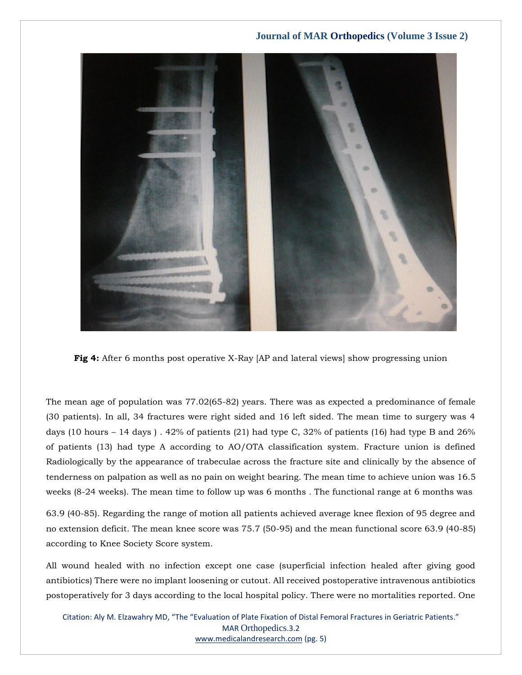

**Fig 4:** After 6 months post operative X-Ray [AP and lateral views] show progressing union

The mean age of population was 77.02(65-82) years. There was as expected a predominance of female (30 patients). In all, 34 fractures were right sided and 16 left sided. The mean time to surgery was 4 days (10 hours – 14 days).  $42\%$  of patients (21) had type C, 32% of patients (16) had type B and 26% of patients (13) had type A according to AO/OTA classification system. Fracture union is defined Radiologically by the appearance of trabeculae across the fracture site and clinically by the absence of tenderness on palpation as well as no pain on weight bearing. The mean time to achieve union was 16.5 weeks (8-24 weeks). The mean time to follow up was 6 months . The functional range at 6 months was

63.9 (40-85). Regarding the range of motion all patients achieved average knee flexion of 95 degree and no extension deficit. The mean knee score was 75.7 (50-95) and the mean functional score 63.9 (40-85) according to Knee Society Score system.

All wound healed with no infection except one case (superficial infection healed after giving good antibiotics) There were no implant loosening or cutout. All received postoperative intravenous antibiotics postoperatively for 3 days according to the local hospital policy. There were no mortalities reported. One

Citation: Aly M. Elzawahry MD, "The "Evaluation of Plate Fixation of Distal Femoral Fractures in Geriatric Patients." MAR Orthopedics.3.2 [www.medicalandresearch.com](http://www.medicalandresearch.com/) (pg. 5)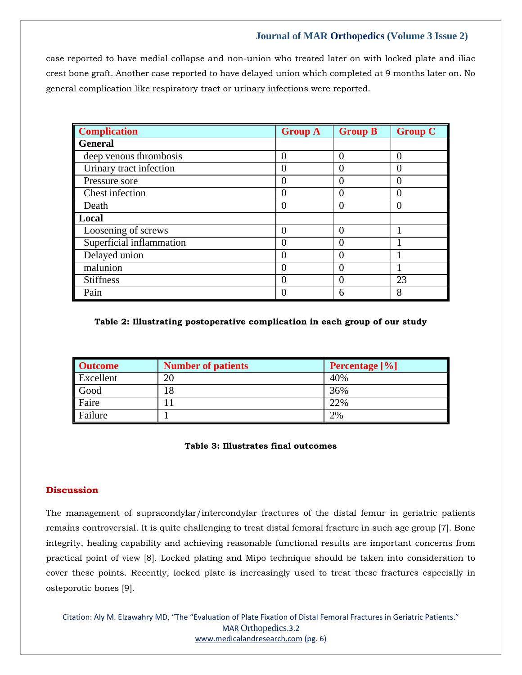case reported to have medial collapse and non-union who treated later on with locked plate and iliac crest bone graft. Another case reported to have delayed union which completed at 9 months later on. No general complication like respiratory tract or urinary infections were reported.

| <b>Complication</b>      | <b>Group A</b> | <b>Group B</b> | <b>Group C</b> |
|--------------------------|----------------|----------------|----------------|
| <b>General</b>           |                |                |                |
| deep venous thrombosis   | 0              | 0              | $\Omega$       |
| Urinary tract infection  |                | 0              |                |
| Pressure sore            | $\Omega$       | 0              | $\mathbf{0}$   |
| Chest infection          | 0              | 0              | $\theta$       |
| Death                    | O              | 0              |                |
| Local                    |                |                |                |
| Loosening of screws      | 0              | 0              |                |
| Superficial inflammation | $\theta$       | 0              |                |
| Delayed union            |                | 0              |                |
| malunion                 | 0              | 0              |                |
| <b>Stiffness</b>         | 0              | 0              | 23             |
| Pain                     |                | 6              | 8              |

#### **Table 2: Illustrating postoperative complication in each group of our study**

| <b>Outcome</b> | <b>Number of patients</b> | <b>Percentage</b> [%] |
|----------------|---------------------------|-----------------------|
| Excellent      | 20                        | 40%                   |
| Good           |                           | 36%                   |
| Faire          |                           | 22%                   |
| Failure        |                           | 2%                    |

#### **Table 3: Illustrates final outcomes**

# **Discussion**

The management of supracondylar/intercondylar fractures of the distal femur in geriatric patients remains controversial. It is quite challenging to treat distal femoral fracture in such age group [7]. Bone integrity, healing capability and achieving reasonable functional results are important concerns from practical point of view [8]. Locked plating and Mipo technique should be taken into consideration to cover these points. Recently, locked plate is increasingly used to treat these fractures especially in osteporotic bones [9].

Citation: Aly M. Elzawahry MD, "The "Evaluation of Plate Fixation of Distal Femoral Fractures in Geriatric Patients." MAR Orthopedics.3.2 [www.medicalandresearch.com](http://www.medicalandresearch.com/) (pg. 6)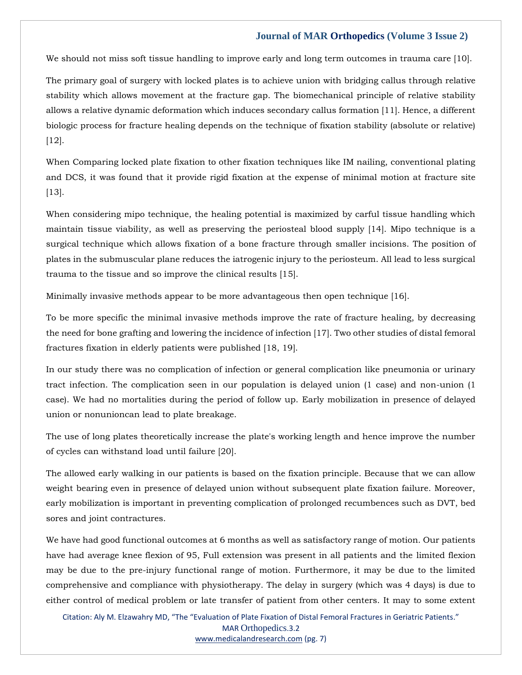We should not miss soft tissue handling to improve early and long term outcomes in trauma care [10].

The primary goal of surgery with locked plates is to achieve union with bridging callus through relative stability which allows movement at the fracture gap. The biomechanical principle of relative stability allows a relative dynamic deformation which induces secondary callus formation [11]. Hence, a different biologic process for fracture healing depends on the technique of fixation stability (absolute or relative) [12].

When Comparing locked plate fixation to other fixation techniques like IM nailing, conventional plating and DCS, it was found that it provide rigid fixation at the expense of minimal motion at fracture site [13].

When considering mipo technique, the healing potential is maximized by carful tissue handling which maintain tissue viability, as well as preserving the periosteal blood supply [14]. Mipo technique is a surgical technique which allows fixation of a bone fracture through smaller incisions. The position of plates in the submuscular plane reduces the iatrogenic injury to the periosteum. All lead to less surgical trauma to the tissue and so improve the clinical results [15].

Minimally invasive methods appear to be more advantageous then open technique [16].

To be more specific the minimal invasive methods improve the rate of fracture healing, by decreasing the need for bone grafting and lowering the incidence of infection [17]. Two other studies of distal femoral fractures fixation in elderly patients were published [18, 19].

In our study there was no complication of infection or general complication like pneumonia or urinary tract infection. The complication seen in our population is delayed union (1 case) and non-union (1 case). We had no mortalities during the period of follow up. Early mobilization in presence of delayed union or nonunioncan lead to plate breakage.

The use of long plates theoretically increase the plate's working length and hence improve the number of cycles can withstand load until failure [20].

The allowed early walking in our patients is based on the fixation principle. Because that we can allow weight bearing even in presence of delayed union without subsequent plate fixation failure. Moreover, early mobilization is important in preventing complication of prolonged recumbences such as DVT, bed sores and joint contractures.

We have had good functional outcomes at 6 months as well as satisfactory range of motion. Our patients have had average knee flexion of 95, Full extension was present in all patients and the limited flexion may be due to the pre-injury functional range of motion. Furthermore, it may be due to the limited comprehensive and compliance with physiotherapy. The delay in surgery (which was 4 days) is due to either control of medical problem or late transfer of patient from other centers. It may to some extent

Citation: Aly M. Elzawahry MD, "The "Evaluation of Plate Fixation of Distal Femoral Fractures in Geriatric Patients." MAR Orthopedics.3.2 [www.medicalandresearch.com](http://www.medicalandresearch.com/) (pg. 7)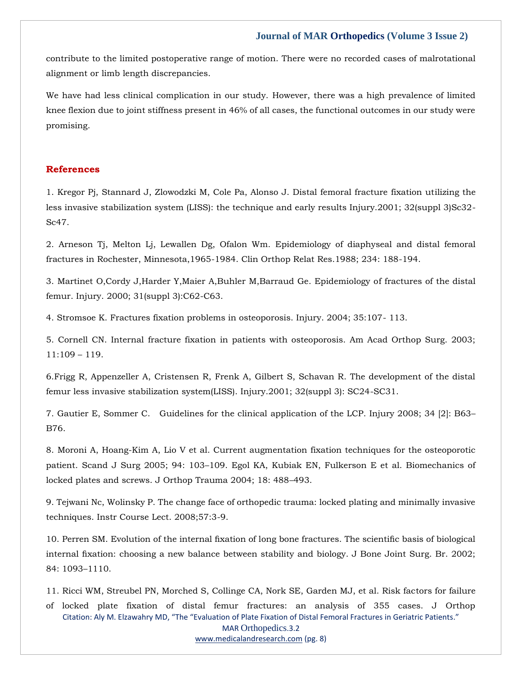contribute to the limited postoperative range of motion. There were no recorded cases of malrotational alignment or limb length discrepancies.

We have had less clinical complication in our study. However, there was a high prevalence of limited knee flexion due to joint stiffness present in 46% of all cases, the functional outcomes in our study were promising.

#### **References**

1. [Kregor Pj, Stannard J, Zlowodzki M, Cole Pa, Alonso J. Distal femoral fracture fixation utilizing the](https://www.google.com/search?q=Distal+femoral+fracture+fixation+utilizing+the+less+invasive+stabilization+system+%28LISS%29%3A+the+technique+and+early+results+Injury&sxsrf=APq-WBs3iFnE4NekpLtQat5L-TlYqdcbLA%3A1648182253522&ei=7UM9YpGyH5iOseMP8MyksAg&ved=0ahUKEwjR3PutteD2AhUYR2wGHXAmCYYQ4dUDCA4&oq=Distal+femoral+fracture+fixation+utilizing+the+less+invasive+stabilization+system+%28LISS%29%3A+the+technique+and+early+results+Injury&gs_lcp=Cgdnd3Mtd2l6EAwyBwgjEOoCECcyBwgjEOoCECcyBwgjEOoCECcyBwgjEOoCECcyBwgjEOoCECcyBwgjEOoCECcyBwgjEOoCECcyBwgjEOoCECcyBwgjEOoCECcyBwgjEOoCECdKBAhBGABKBAhGGABQYFhgYIMHaAFwAHgAgAEAiAEAkgEAmAEAoAEBoAECsAEKwAEB&sclient=gws-wiz)  [less invasive stabilization system \(LISS\): the technique and early results Injury.2001; 32\(suppl 3\)Sc32-](https://www.google.com/search?q=Distal+femoral+fracture+fixation+utilizing+the+less+invasive+stabilization+system+%28LISS%29%3A+the+technique+and+early+results+Injury&sxsrf=APq-WBs3iFnE4NekpLtQat5L-TlYqdcbLA%3A1648182253522&ei=7UM9YpGyH5iOseMP8MyksAg&ved=0ahUKEwjR3PutteD2AhUYR2wGHXAmCYYQ4dUDCA4&oq=Distal+femoral+fracture+fixation+utilizing+the+less+invasive+stabilization+system+%28LISS%29%3A+the+technique+and+early+results+Injury&gs_lcp=Cgdnd3Mtd2l6EAwyBwgjEOoCECcyBwgjEOoCECcyBwgjEOoCECcyBwgjEOoCECcyBwgjEOoCECcyBwgjEOoCECcyBwgjEOoCECcyBwgjEOoCECcyBwgjEOoCECcyBwgjEOoCECdKBAhBGABKBAhGGABQYFhgYIMHaAFwAHgAgAEAiAEAkgEAmAEAoAEBoAECsAEKwAEB&sclient=gws-wiz) [Sc47.](https://www.google.com/search?q=Distal+femoral+fracture+fixation+utilizing+the+less+invasive+stabilization+system+%28LISS%29%3A+the+technique+and+early+results+Injury&sxsrf=APq-WBs3iFnE4NekpLtQat5L-TlYqdcbLA%3A1648182253522&ei=7UM9YpGyH5iOseMP8MyksAg&ved=0ahUKEwjR3PutteD2AhUYR2wGHXAmCYYQ4dUDCA4&oq=Distal+femoral+fracture+fixation+utilizing+the+less+invasive+stabilization+system+%28LISS%29%3A+the+technique+and+early+results+Injury&gs_lcp=Cgdnd3Mtd2l6EAwyBwgjEOoCECcyBwgjEOoCECcyBwgjEOoCECcyBwgjEOoCECcyBwgjEOoCECcyBwgjEOoCECcyBwgjEOoCECcyBwgjEOoCECcyBwgjEOoCECcyBwgjEOoCECdKBAhBGABKBAhGGABQYFhgYIMHaAFwAHgAgAEAiAEAkgEAmAEAoAEBoAECsAEKwAEB&sclient=gws-wiz)

2. [Arneson Tj, Melton Lj, Lewallen Dg, Ofalon Wm.](https://www.google.com/search?q=Epidemiology+of+diaphyseal+and+distal+femoral+fractures+in+Rochester%2C+Minnesota%2C1965-1984.+&sxsrf=APq-WBvbckCLOBhY4LCUWHXI0IRsz3-RKQ%3A1648182231059&ei=10M9YuSgA_-gseMPl_e6qAg&ved=0ahUKEwik6KCjteD2AhV_UGwGHZe7DoUQ4dUDCA4&oq=Epidemiology+of+diaphyseal+and+distal+femoral+fractures+in+Rochester%2C+Minnesota%2C1965-1984.+&gs_lcp=Cgdnd3Mtd2l6EAw6BwgjEOoCECdKBAhBGABKBAhGGABQfVh9YMcIaAFwAXgAgAFpiAFpkgEDMC4xmAEAoAEBoAECsAEKwAEB&sclient=gws-wiz) Epidemiology of diaphyseal and distal femoral [fractures in Rochester, Minnesota,1965-1984. Clin Orthop Relat Res.1988; 234: 188-194.](https://www.google.com/search?q=Epidemiology+of+diaphyseal+and+distal+femoral+fractures+in+Rochester%2C+Minnesota%2C1965-1984.+&sxsrf=APq-WBvbckCLOBhY4LCUWHXI0IRsz3-RKQ%3A1648182231059&ei=10M9YuSgA_-gseMPl_e6qAg&ved=0ahUKEwik6KCjteD2AhV_UGwGHZe7DoUQ4dUDCA4&oq=Epidemiology+of+diaphyseal+and+distal+femoral+fractures+in+Rochester%2C+Minnesota%2C1965-1984.+&gs_lcp=Cgdnd3Mtd2l6EAw6BwgjEOoCECdKBAhBGABKBAhGGABQfVh9YMcIaAFwAXgAgAFpiAFpkgEDMC4xmAEAoAEBoAECsAEKwAEB&sclient=gws-wiz)

3. [Martinet O,Cordy J,Harder Y,Maier A,Buhler M,Barraud Ge. Epidemiology of fractures of the distal](https://www.google.com/search?q=Epidemiology+of+fractures+of+the+distal+femur.+Injury&sxsrf=APq-WBtbjexVoDQnxwgaS85JP9vVl-uJrA%3A1648182215065&ei=x0M9YqvXA-WPseMP1e-ZqAg&ved=0ahUKEwjr1tCbteD2AhXlR2wGHdV3BoUQ4dUDCA4&oq=Epidemiology+of+fractures+of+the+distal+femur.+Injury&gs_lcp=Cgdnd3Mtd2l6EAwyCAghEBYQHRAeOgcIIxDqAhAnSgQIQRgASgQIRhgAUBZYFmCCB2gBcAB4AIABX4gBX5IBATGYAQCgAQGgAQKwAQrAAQE&sclient=gws-wiz)  [femur. Injury. 2000; 31\(suppl 3\):C62-C63.](https://www.google.com/search?q=Epidemiology+of+fractures+of+the+distal+femur.+Injury&sxsrf=APq-WBtbjexVoDQnxwgaS85JP9vVl-uJrA%3A1648182215065&ei=x0M9YqvXA-WPseMP1e-ZqAg&ved=0ahUKEwjr1tCbteD2AhXlR2wGHdV3BoUQ4dUDCA4&oq=Epidemiology+of+fractures+of+the+distal+femur.+Injury&gs_lcp=Cgdnd3Mtd2l6EAwyCAghEBYQHRAeOgcIIxDqAhAnSgQIQRgASgQIRhgAUBZYFmCCB2gBcAB4AIABX4gBX5IBATGYAQCgAQGgAQKwAQrAAQE&sclient=gws-wiz)

4. [Stromsoe K. Fractures fixation problems in osteoporosis. Injury. 2004; 35:107-](https://www.google.com/search?q=Fractures+fixation+problems+in+osteoporosis&sxsrf=APq-WBuBD9iBp4tallhd13k-hFT1pLJoJA%3A1648182174278&ei=nkM9YoPHEKuhseMPnJet-Ag&ved=0ahUKEwiDjpeIteD2AhWrUGwGHZxLC48Q4dUDCA4&oq=Fractures+fixation+problems+in+osteoporosis&gs_lcp=Cgdnd3Mtd2l6EAwyCAghEBYQHRAeOgcIIxDqAhAnSgQIQRgASgQIRhgAUBxYHGDIGmgBcAF4AIABYYgBYZIBATGYAQCgAQGgAQKwAQrAAQE&sclient=gws-wiz) 113.

5. [Cornell CN. Internal fracture fixation in patients with osteoporosis. Am Acad Orthop Surg. 2003;](https://www.google.com/search?q=Internal+fracture+fixation+in+patients+with+osteoporosis&sxsrf=APq-WBvzKSlljdYD28sorGrgojtZIRyWWw%3A1648182161095&ei=kUM9YvOtBd2PseMPwsqxoAg&ved=0ahUKEwizuvKBteD2AhXdR2wGHUJlDIQQ4dUDCA4&oq=Internal+fracture+fixation+in+patients+with+osteoporosis&gs_lcp=Cgdnd3Mtd2l6EAwyBggAEBYQHjoHCCMQ6gIQJ0oECEEYAEoECEYYAFCFAViFAWCxBmgBcAB4AIABZogBZpIBAzAuMZgBAKABAaABArABCsABAQ&sclient=gws-wiz)  [11:109](https://www.google.com/search?q=Internal+fracture+fixation+in+patients+with+osteoporosis&sxsrf=APq-WBvzKSlljdYD28sorGrgojtZIRyWWw%3A1648182161095&ei=kUM9YvOtBd2PseMPwsqxoAg&ved=0ahUKEwizuvKBteD2AhXdR2wGHUJlDIQQ4dUDCA4&oq=Internal+fracture+fixation+in+patients+with+osteoporosis&gs_lcp=Cgdnd3Mtd2l6EAwyBggAEBYQHjoHCCMQ6gIQJ0oECEEYAEoECEYYAFCFAViFAWCxBmgBcAB4AIABZogBZpIBAzAuMZgBAKABAaABArABCsABAQ&sclient=gws-wiz) – 119.

[6.Frigg R, Appenzeller A, Cristensen R, Frenk A, Gilbert S, Schavan R. The development of the distal](https://www.google.com/search?q=The+development+of+the+distal+femur+less+invasive+stabilization+system%28LISS%29.+&sxsrf=APq-WBv9hOkYksbUciiKTS23_7apcMQSCw%3A1648182131150&ei=c0M9YubVCPOMseMP3L-bsAg&ved=0ahUKEwim287ztOD2AhVzRmwGHdzfBoYQ4dUDCA4&oq=The+development+of+the+distal+femur+less+invasive+stabilization+system%28LISS%29.+&gs_lcp=Cgdnd3Mtd2l6EAw6BwgjEOoCECdKBAhBGABKBAhGGABQ0wJY0wJgngZoAXABeACAAWWIAWWSAQMwLjGYAQCgAQGgAQKwAQrAAQE&sclient=gws-wiz)  [femur less invasive stabilization system\(LISS\). Injury.2001; 32\(suppl 3\): SC24-SC31.](https://www.google.com/search?q=The+development+of+the+distal+femur+less+invasive+stabilization+system%28LISS%29.+&sxsrf=APq-WBv9hOkYksbUciiKTS23_7apcMQSCw%3A1648182131150&ei=c0M9YubVCPOMseMP3L-bsAg&ved=0ahUKEwim287ztOD2AhVzRmwGHdzfBoYQ4dUDCA4&oq=The+development+of+the+distal+femur+less+invasive+stabilization+system%28LISS%29.+&gs_lcp=Cgdnd3Mtd2l6EAw6BwgjEOoCECdKBAhBGABKBAhGGABQ0wJY0wJgngZoAXABeACAAWWIAWWSAQMwLjGYAQCgAQGgAQKwAQrAAQE&sclient=gws-wiz)

7. [Gautier E, Sommer C. Guidelines for the clinical application of the LCP. Injury 2008; 34 \[2\]: B63](https://www.google.com/search?q=Guidelines+for+the+clinical+application+of+the+LCP&sxsrf=APq-WBsm-At-kzXkDKP1SdfxXPUd6ZHCcg%3A1648182117792&ei=ZUM9YrPlJ6qOseMP94i4sAg&ved=0ahUKEwjzq5fttOD2AhUqR2wGHXcEDoYQ4dUDCA4&oq=Guidelines+for+the+clinical+application+of+the+LCP&gs_lcp=Cgdnd3Mtd2l6EAwyBQgAEIAEOgcIIxDqAhAnSgQIQRgASgQIRhgAUOYBWOYBYPAIaAFwAHgAgAFiiAFikgEBMZgBAKABAaABArABCsABAQ&sclient=gws-wiz)– [B76.](https://www.google.com/search?q=Guidelines+for+the+clinical+application+of+the+LCP&sxsrf=APq-WBsm-At-kzXkDKP1SdfxXPUd6ZHCcg%3A1648182117792&ei=ZUM9YrPlJ6qOseMP94i4sAg&ved=0ahUKEwjzq5fttOD2AhUqR2wGHXcEDoYQ4dUDCA4&oq=Guidelines+for+the+clinical+application+of+the+LCP&gs_lcp=Cgdnd3Mtd2l6EAwyBQgAEIAEOgcIIxDqAhAnSgQIQRgASgQIRhgAUOYBWOYBYPAIaAFwAHgAgAFiiAFikgEBMZgBAKABAaABArABCsABAQ&sclient=gws-wiz)

8. [Moroni A, Hoang-Kim A, Lio V et al. Current augmentation fixation techniques for the osteoporotic](https://www.google.com/search?q=Current+augmentation+fixation+techniques+for+the+osteoporotic+patient&sxsrf=APq-WBuSKHNmEnJ5vKM4IatKsHzAzvH93Q%3A1648182103902&ei=V0M9YqfkNpqhseMPxvmOqAg&ved=0ahUKEwjn68_mtOD2AhWaUGwGHca8A4UQ4dUDCA4&oq=Current+augmentation+fixation+techniques+for+the+osteoporotic+patient&gs_lcp=Cgdnd3Mtd2l6EAw6BwgjEOoCECdKBAhBGABKBAhGGABQ-wJY-wJg1wZoAXAAeACAAXmIAXmSAQMwLjGYAQCgAQGgAQKwAQrAAQE&sclient=gws-wiz)  patient. Scand J Surg 2005; 94: 103–[109. Egol KA, Kubiak EN, Fulkerson E et al. Biomechanics of](https://www.google.com/search?q=Current+augmentation+fixation+techniques+for+the+osteoporotic+patient&sxsrf=APq-WBuSKHNmEnJ5vKM4IatKsHzAzvH93Q%3A1648182103902&ei=V0M9YqfkNpqhseMPxvmOqAg&ved=0ahUKEwjn68_mtOD2AhWaUGwGHca8A4UQ4dUDCA4&oq=Current+augmentation+fixation+techniques+for+the+osteoporotic+patient&gs_lcp=Cgdnd3Mtd2l6EAw6BwgjEOoCECdKBAhBGABKBAhGGABQ-wJY-wJg1wZoAXAAeACAAXmIAXmSAQMwLjGYAQCgAQGgAQKwAQrAAQE&sclient=gws-wiz)  [locked plates and screws. J Orthop Trauma 2004; 18: 488](https://www.google.com/search?q=Current+augmentation+fixation+techniques+for+the+osteoporotic+patient&sxsrf=APq-WBuSKHNmEnJ5vKM4IatKsHzAzvH93Q%3A1648182103902&ei=V0M9YqfkNpqhseMPxvmOqAg&ved=0ahUKEwjn68_mtOD2AhWaUGwGHca8A4UQ4dUDCA4&oq=Current+augmentation+fixation+techniques+for+the+osteoporotic+patient&gs_lcp=Cgdnd3Mtd2l6EAw6BwgjEOoCECdKBAhBGABKBAhGGABQ-wJY-wJg1wZoAXAAeACAAXmIAXmSAQMwLjGYAQCgAQGgAQKwAQrAAQE&sclient=gws-wiz)–493.

9. [Tejwani Nc, Wolinsky P. The change face of orthopedic trauma: locked plating and minimally invasive](https://www.google.com/search?q=The+change+face+of+orthopedic+trauma%3A+locked+plating+and+minimally+invasive+techniques&sxsrf=APq-WBsXnE9Td_qX0ghEw85TfzjqRP-VjA%3A1648182090473&ei=SkM9YrHRHNqhseMP5ciSoAg&ved=0ahUKEwixnpzgtOD2AhXaUGwGHWWkBIQQ4dUDCA4&oq=The+change+face+of+orthopedic+trauma%3A+locked+plating+and+minimally+invasive+techniques&gs_lcp=Cgdnd3Mtd2l6EAw6BwgjEOoCECdKBAhBGABKBAhGGABQvAFYvAFglgZoAXAAeACAAWCIAWCSAQExmAEAoAEBoAECsAEKwAEB&sclient=gws-wiz)  [techniques. Instr Course Lect. 2008;57:3-9.](https://www.google.com/search?q=The+change+face+of+orthopedic+trauma%3A+locked+plating+and+minimally+invasive+techniques&sxsrf=APq-WBsXnE9Td_qX0ghEw85TfzjqRP-VjA%3A1648182090473&ei=SkM9YrHRHNqhseMP5ciSoAg&ved=0ahUKEwixnpzgtOD2AhXaUGwGHWWkBIQQ4dUDCA4&oq=The+change+face+of+orthopedic+trauma%3A+locked+plating+and+minimally+invasive+techniques&gs_lcp=Cgdnd3Mtd2l6EAw6BwgjEOoCECdKBAhBGABKBAhGGABQvAFYvAFglgZoAXAAeACAAWCIAWCSAQExmAEAoAEBoAECsAEKwAEB&sclient=gws-wiz)

10. [Perren SM. Evolution of the internal fixation of long bone fractures. The scientific basis of biological](https://www.google.com/search?q=Evolution+of+the+internal+%EF%AC%81xation+of+long+bone+fractures&sxsrf=APq-WBseerkXVfkDflUOlp4vzSGDDLUimw%3A1648182077684&ei=PUM9YrihKY6NseMPmLSpsAg&ved=0ahUKEwj4s4_atOD2AhWORmwGHRhaCoYQ4dUDCA4&oq=Evolution+of+the+internal+%EF%AC%81xation+of+long+bone+fractures&gs_lcp=Cgdnd3Mtd2l6EAwyBQgAEIAEOgcIIxDqAhAnSgQIQRgASgQIRhgAUP4CWP4CYLkGaAFwAHgAgAFsiAFskgEDMC4xmAEAoAEBoAECsAEKwAEB&sclient=gws-wiz)  [internal fixation: choosing a new balance between stability and biology. J Bone Joint Surg. Br. 2002;](https://www.google.com/search?q=Evolution+of+the+internal+%EF%AC%81xation+of+long+bone+fractures&sxsrf=APq-WBseerkXVfkDflUOlp4vzSGDDLUimw%3A1648182077684&ei=PUM9YrihKY6NseMPmLSpsAg&ved=0ahUKEwj4s4_atOD2AhWORmwGHRhaCoYQ4dUDCA4&oq=Evolution+of+the+internal+%EF%AC%81xation+of+long+bone+fractures&gs_lcp=Cgdnd3Mtd2l6EAwyBQgAEIAEOgcIIxDqAhAnSgQIQRgASgQIRhgAUP4CWP4CYLkGaAFwAHgAgAFsiAFskgEDMC4xmAEAoAEBoAECsAEKwAEB&sclient=gws-wiz)  [84: 1093](https://www.google.com/search?q=Evolution+of+the+internal+%EF%AC%81xation+of+long+bone+fractures&sxsrf=APq-WBseerkXVfkDflUOlp4vzSGDDLUimw%3A1648182077684&ei=PUM9YrihKY6NseMPmLSpsAg&ved=0ahUKEwj4s4_atOD2AhWORmwGHRhaCoYQ4dUDCA4&oq=Evolution+of+the+internal+%EF%AC%81xation+of+long+bone+fractures&gs_lcp=Cgdnd3Mtd2l6EAwyBQgAEIAEOgcIIxDqAhAnSgQIQRgASgQIRhgAUP4CWP4CYLkGaAFwAHgAgAFsiAFskgEDMC4xmAEAoAEBoAECsAEKwAEB&sclient=gws-wiz)–1110.

11. [Ricci WM, Streubel PN, Morched S, Collinge CA, Nork SE, Garden MJ, et al. Risk factors for failure](https://www.google.com/search?q=Risk+factors+for+failure+of+locked+plate+fixation+of+distal+femur+fractures%3A+an+analysis+of+355+cases.+&sxsrf=APq-WBtEZViIihFbOQw7NAmpMCLPUFtcjQ%3A1648182064540&ei=MEM9YvnEIOuZseMPh4GvqAg&ved=0ahUKEwj5nO3TtOD2AhXrTGwGHYfAC4UQ4dUDCA4&oq=Risk+factors+for+failure+of+locked+plate+fixation+of+distal+femur+fractures%3A+an+analysis+of+355+cases.+&gs_lcp=Cgdnd3Mtd2l6EAwyBwgjEOoCECcyBwgjEOoCECcyBwgjEOoCECcyBwgjEOoCECcyBwgjEOoCECcyBwgjEOoCECcyBwgjEOoCECcyBwgjEOoCECcyBwgjEOoCECcyBwgjEOoCECdKBAhBGABKBAhGGABQ9QFY9QFgigZoAXAAeACAAQCIAQCSAQCYAQCgAQGgAQKwAQrAAQE&sclient=gws-wiz) 

Citation: Aly M. Elzawahry MD, "The "Evaluation of Plate Fixation of Distal Femoral Fractures in Geriatric Patients." MAR Orthopedics.3.2 [www.medicalandresearch.com](http://www.medicalandresearch.com/) (pg. 8) [of locked plate fixation of distal femur fractures: an analysis of 355 cases. J Orthop](https://www.google.com/search?q=Risk+factors+for+failure+of+locked+plate+fixation+of+distal+femur+fractures%3A+an+analysis+of+355+cases.+&sxsrf=APq-WBtEZViIihFbOQw7NAmpMCLPUFtcjQ%3A1648182064540&ei=MEM9YvnEIOuZseMPh4GvqAg&ved=0ahUKEwj5nO3TtOD2AhXrTGwGHYfAC4UQ4dUDCA4&oq=Risk+factors+for+failure+of+locked+plate+fixation+of+distal+femur+fractures%3A+an+analysis+of+355+cases.+&gs_lcp=Cgdnd3Mtd2l6EAwyBwgjEOoCECcyBwgjEOoCECcyBwgjEOoCECcyBwgjEOoCECcyBwgjEOoCECcyBwgjEOoCECcyBwgjEOoCECcyBwgjEOoCECcyBwgjEOoCECcyBwgjEOoCECdKBAhBGABKBAhGGABQ9QFY9QFgigZoAXAAeACAAQCIAQCSAQCYAQCgAQGgAQKwAQrAAQE&sclient=gws-wiz)